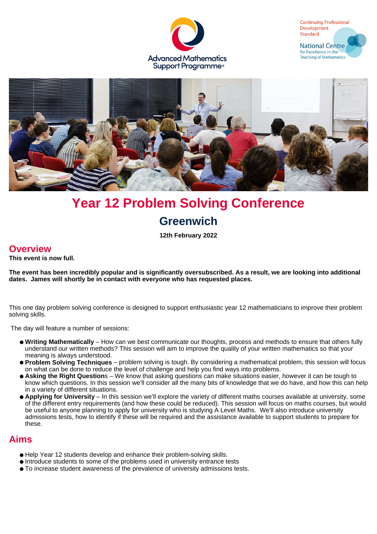





# **Year 12 Problem Solving Conference Greenwich**

**12th February 2022**

# **Overview**

**This event is now full.**

**The event has been incredibly popular and is significantly oversubscribed. As a result, we are looking into additional dates. James will shortly be in contact with everyone who has requested places.**

This one day problem solving conference is designed to support enthusiastic year 12 mathematicians to improve their problem solving skills.

The day will feature a number of sessions:

- **Writing Mathematically** How can we best communicate our thoughts, process and methods to ensure that others fully understand our written methods? This session will aim to improve the quality of your written mathematics so that your meaning is always understood.
- **Problem Solving Techniques** problem solving is tough. By considering a mathematical problem, this session will focus on what can be done to reduce the level of challenge and help you find ways into problems.
- **Asking the Right Question**s We know that asking questions can make situations easier, however it can be tough to know which questions. In this session we'll consider all the many bits of knowledge that we do have, and how this can help in a variety of different situations.
- **Applying for University** In this session we'll explore the variety of different maths courses available at university, some of the different entry requirements (and how these could be reduced). This session will focus on maths courses, but would be useful to anyone planning to apply for university who is studying A Level Maths. We'll also introduce university admissions tests, how to identify if these will be required and the assistance available to support students to prepare for these.

## **Aims**

- Help Year 12 students develop and enhance their problem-solving skills.
- Introduce students to some of the problems used in university entrance tests
- To increase student awareness of the prevalence of university admissions tests.